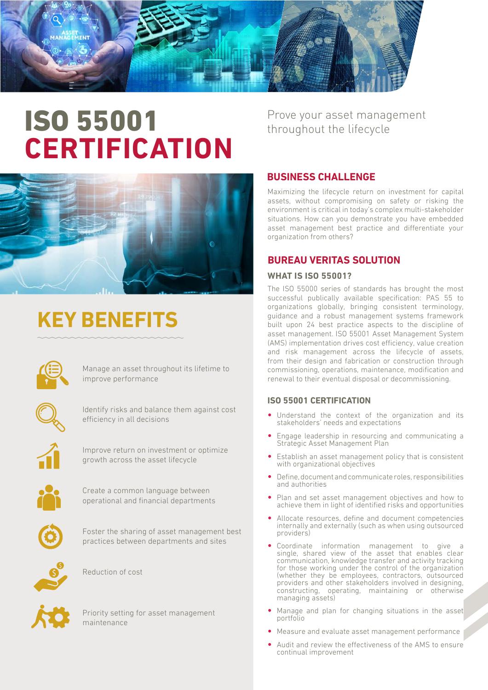# ISO 55001 **CERTIFICATION**



# **KEY BENEFITS**



Manage an asset throughout its lifetime to improve performance



Identify risks and balance them against cost efficiency in all decisions



Improve return on investment or optimize growth across the asset lifecycle



Create a common language between operational and financial departments



Foster the sharing of asset management best practices between departments and sites



Reduction of cost



Priority setting for asset management maintenance

Prove your asset management throughout the lifecycle

# **BUSINESS CHALLENGE**

Maximizing the lifecycle return on investment for capital assets, without compromising on safety or risking the environment is critical in today's complex multi-stakeholder situations. How can you demonstrate you have embedded asset management best practice and differentiate your organization from others?

## **BUREAU VERITAS SOLUTION**

### **WHAT IS ISO 55001?**

The ISO 55000 series of standards has brought the most successful publically available specification: PAS 55 to organizations globally, bringing consistent terminology, guidance and a robust management systems framework built upon 24 best practice aspects to the discipline of asset management. ISO 55001 Asset Management System (AMS) implementation drives cost efficiency, value creation and risk management across the lifecycle of assets, from their design and fabrication or construction through commissioning, operations, maintenance, modification and renewal to their eventual disposal or decommissioning.

### **ISO 55001 CERTIFICATION**

- Understand the context of the organization and its stakeholders' needs and expectations
- Engage leadership in resourcing and communicating a Strategic Asset Management Plan
- Establish an asset management policy that is consistent with organizational objectives
- Define, document and communicate roles, responsibilities and authorities
- Plan and set asset management objectives and how to achieve them in light of identified risks and opportunities
- Allocate resources, define and document competencies internally and externally (such as when using outsourced providers)
- Coordinate information management to give a single, shared view of the asset that enables clear communication, knowledge transfer and activity tracking for those working under the control of the organization (whether they be employees, contractors, outsourced providers and other stakeholders involved in designing, constructing, operating, maintaining or otherwise managing assets)
- Manage and plan for changing situations in the asset portfolio
- Measure and evaluate asset management performance
- Audit and review the effectiveness of the AMS to ensure continual improvement